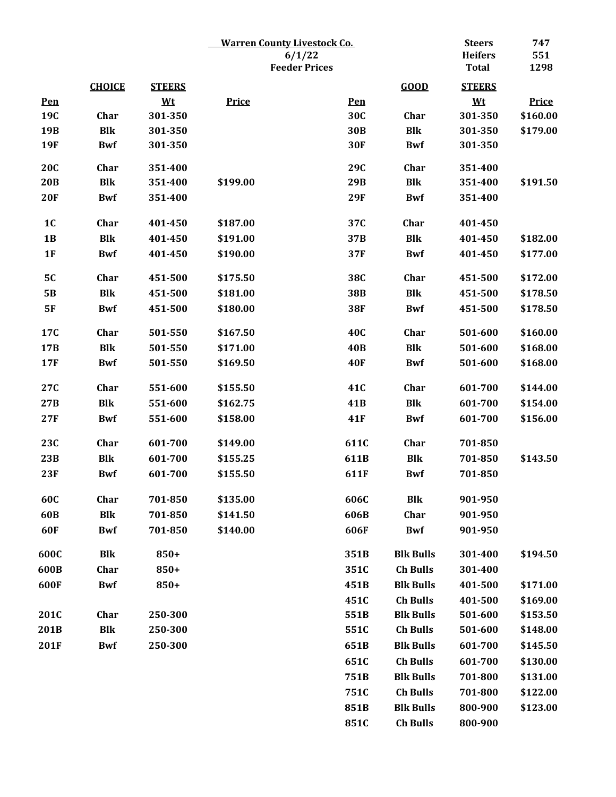|                |               |               |              | <b>Warren County Livestock Co.</b> |                  | <b>Steers</b>  | 747          |
|----------------|---------------|---------------|--------------|------------------------------------|------------------|----------------|--------------|
|                |               |               | 6/1/22       |                                    |                  | <b>Heifers</b> | 551          |
|                |               |               |              | <b>Feeder Prices</b>               |                  | <b>Total</b>   | 1298         |
|                | <b>CHOICE</b> | <b>STEERS</b> |              |                                    | GOOD             | <b>STEERS</b>  |              |
| Pen            |               | <u>Wt</u>     | <b>Price</b> | <b>Pen</b>                         |                  | $Wt$           | <b>Price</b> |
| 19C            | Char          | 301-350       |              | 30C                                | Char             | 301-350        | \$160.00     |
| 19B            | <b>Blk</b>    | 301-350       |              | 30 <sub>B</sub>                    | <b>Blk</b>       | 301-350        | \$179.00     |
| <b>19F</b>     | <b>Bwf</b>    | 301-350       |              | <b>30F</b>                         | <b>Bwf</b>       | 301-350        |              |
| <b>20C</b>     | Char          | 351-400       |              | 29C                                | Char             | 351-400        |              |
| 20B            | <b>Blk</b>    | 351-400       | \$199.00     | 29B                                | <b>Blk</b>       | 351-400        | \$191.50     |
| 20F            | <b>Bwf</b>    | 351-400       |              | <b>29F</b>                         | <b>Bwf</b>       | 351-400        |              |
| 1 <sub>C</sub> | Char          | 401-450       | \$187.00     | 37C                                | Char             | 401-450        |              |
| 1B             | <b>Blk</b>    | 401-450       | \$191.00     | 37B                                | <b>Blk</b>       | 401-450        | \$182.00     |
| 1F             | <b>Bwf</b>    | 401-450       | \$190.00     | 37F                                | <b>Bwf</b>       | 401-450        | \$177.00     |
| <b>5C</b>      | Char          | 451-500       | \$175.50     | <b>38C</b>                         | Char             | 451-500        | \$172.00     |
| <b>5B</b>      | <b>Blk</b>    | 451-500       | \$181.00     | 38B                                | <b>Blk</b>       | 451-500        | \$178.50     |
| <b>5F</b>      | <b>Bwf</b>    | 451-500       | \$180.00     | <b>38F</b>                         | <b>Bwf</b>       | 451-500        | \$178.50     |
| 17C            | Char          | 501-550       | \$167.50     | <b>40C</b>                         | Char             | 501-600        | \$160.00     |
| 17B            | <b>Blk</b>    | 501-550       | \$171.00     | <b>40B</b>                         | <b>Blk</b>       | 501-600        | \$168.00     |
| <b>17F</b>     | <b>Bwf</b>    | 501-550       | \$169.50     | <b>40F</b>                         | <b>Bwf</b>       | 501-600        | \$168.00     |
| 27C            | Char          | 551-600       | \$155.50     | 41C                                | Char             | 601-700        | \$144.00     |
| 27B            | <b>Blk</b>    | 551-600       | \$162.75     | 41 <sub>B</sub>                    | <b>Blk</b>       | 601-700        | \$154.00     |
| 27F            | <b>Bwf</b>    | 551-600       | \$158.00     | <b>41F</b>                         | <b>Bwf</b>       | 601-700        | \$156.00     |
| 23C            | Char          | 601-700       | \$149.00     | 611C                               | Char             | 701-850        |              |
| 23B            | <b>Blk</b>    | 601-700       | \$155.25     | 611B                               | <b>Blk</b>       | 701-850        | \$143.50     |
| 23F            | <b>Bwf</b>    | 601-700       | \$155.50     | 611F                               | <b>Bwf</b>       | 701-850        |              |
|                |               |               |              |                                    |                  |                |              |
| 60C            | Char          | 701-850       | \$135.00     | 606C                               | <b>Blk</b>       | 901-950        |              |
| 60B            | <b>Blk</b>    | 701-850       | \$141.50     | 606B                               | Char             | 901-950        |              |
| 60F            | <b>Bwf</b>    | 701-850       | \$140.00     | 606F                               | <b>Bwf</b>       | 901-950        |              |
| 600C           | Blk           | 850+          |              | 351B                               | <b>Blk Bulls</b> | 301-400        | \$194.50     |
| 600B           | Char          | 850+          |              | 351C                               | <b>Ch Bulls</b>  | 301-400        |              |
| 600F           | <b>Bwf</b>    | 850+          |              | 451B                               | <b>Blk Bulls</b> | 401-500        | \$171.00     |
|                |               |               |              | 451C                               | <b>Ch Bulls</b>  | 401-500        | \$169.00     |
| 201C           | Char          | 250-300       |              | 551B                               | <b>Blk Bulls</b> | 501-600        | \$153.50     |
| 201B           | <b>Blk</b>    | 250-300       |              | 551C                               | <b>Ch Bulls</b>  | 501-600        | \$148.00     |
| 201F           | <b>Bwf</b>    | 250-300       |              | 651B                               | <b>Blk Bulls</b> | 601-700        | \$145.50     |
|                |               |               |              | 651C                               | <b>Ch Bulls</b>  | 601-700        | \$130.00     |
|                |               |               |              | 751B                               | <b>Blk Bulls</b> | 701-800        | \$131.00     |
|                |               |               |              | 751C                               | <b>Ch Bulls</b>  | 701-800        | \$122.00     |
|                |               |               |              | 851B                               | <b>Blk Bulls</b> | 800-900        | \$123.00     |
|                |               |               |              | 851C                               | <b>Ch Bulls</b>  | 800-900        |              |